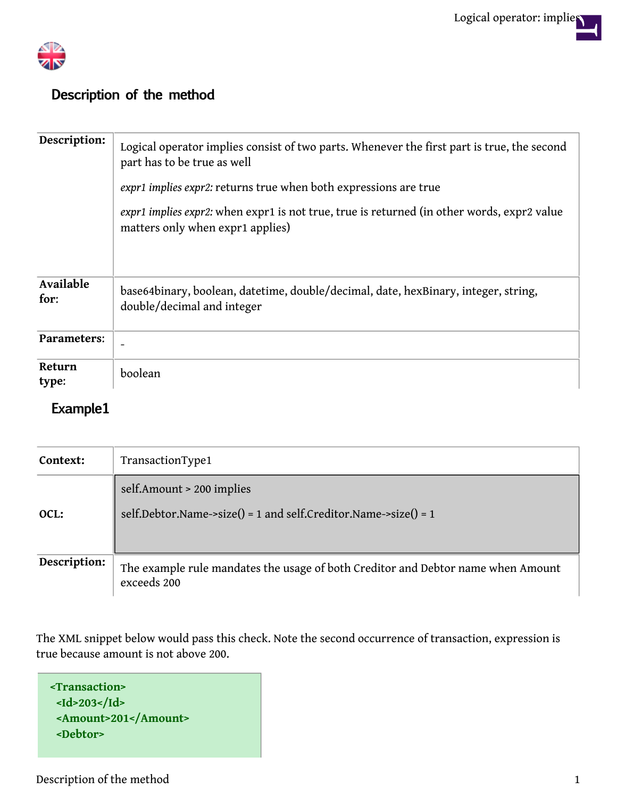

## **Description of the method**

| Description:      | Logical operator implies consist of two parts. Whenever the first part is true, the second<br>part has to be true as well<br>expr1 implies expr2: returns true when both expressions are true<br>expr1 implies expr2: when expr1 is not true, true is returned (in other words, expr2 value<br>matters only when expr1 applies) |
|-------------------|---------------------------------------------------------------------------------------------------------------------------------------------------------------------------------------------------------------------------------------------------------------------------------------------------------------------------------|
| Available<br>for: | base64binary, boolean, datetime, double/decimal, date, hexBinary, integer, string,<br>double/decimal and integer                                                                                                                                                                                                                |
| Parameters:       |                                                                                                                                                                                                                                                                                                                                 |
| Return<br>type:   | boolean                                                                                                                                                                                                                                                                                                                         |

## **Example1**

| Context:     | TransactionType1                                                                                |
|--------------|-------------------------------------------------------------------------------------------------|
| OCL:         | self.Amount > 200 implies<br>self.Debtor.Name->size() = 1 and self.Creditor.Name->size() = 1    |
| Description: | The example rule mandates the usage of both Creditor and Debtor name when Amount<br>exceeds 200 |

The XML snippet below would pass this check. Note the second occurrence of transaction, expression is true because amount is not above 200.

**<Transaction> <Id>203</Id> <Amount>201</Amount> <Debtor>**